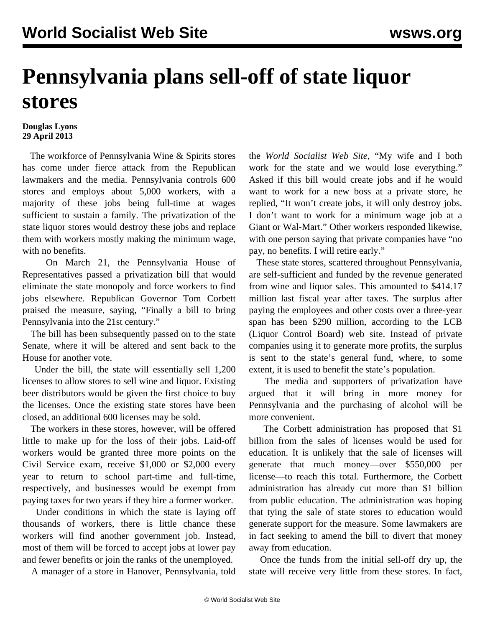## **Pennsylvania plans sell-off of state liquor stores**

## **Douglas Lyons 29 April 2013**

 The workforce of Pennsylvania Wine & Spirits stores has come under fierce attack from the Republican lawmakers and the media. Pennsylvania controls 600 stores and employs about 5,000 workers, with a majority of these jobs being full-time at wages sufficient to sustain a family. The privatization of the state liquor stores would destroy these jobs and replace them with workers mostly making the minimum wage, with no benefits.

 On March 21, the Pennsylvania House of Representatives passed a privatization bill that would eliminate the state monopoly and force workers to find jobs elsewhere. Republican Governor Tom Corbett praised the measure, saying, "Finally a bill to bring Pennsylvania into the 21st century."

 The bill has been subsequently passed on to the state Senate, where it will be altered and sent back to the House for another vote.

 Under the bill, the state will essentially sell 1,200 licenses to allow stores to sell wine and liquor. Existing beer distributors would be given the first choice to buy the licenses. Once the existing state stores have been closed, an additional 600 licenses may be sold.

 The workers in these stores, however, will be offered little to make up for the loss of their jobs. Laid-off workers would be granted three more points on the Civil Service exam, receive \$1,000 or \$2,000 every year to return to school part-time and full-time, respectively, and businesses would be exempt from paying taxes for two years if they hire a former worker.

 Under conditions in which the state is laying off thousands of workers, there is little chance these workers will find another government job. Instead, most of them will be forced to accept jobs at lower pay and fewer benefits or join the ranks of the unemployed.

A manager of a store in Hanover, Pennsylvania, told

the *World Socialist Web Site,* "My wife and I both work for the state and we would lose everything." Asked if this bill would create jobs and if he would want to work for a new boss at a private store, he replied, "It won't create jobs, it will only destroy jobs. I don't want to work for a minimum wage job at a Giant or Wal-Mart." Other workers responded likewise, with one person saying that private companies have "no pay, no benefits. I will retire early."

 These state stores, scattered throughout Pennsylvania, are self-sufficient and funded by the revenue generated from wine and liquor sales. This amounted to \$414.17 million last fiscal year after taxes. The surplus after paying the employees and other costs over a three-year span has been \$290 million, according to the LCB (Liquor Control Board) web site. Instead of private companies using it to generate more profits, the surplus is sent to the state's general fund, where, to some extent, it is used to benefit the state's population.

 The media and supporters of privatization have argued that it will bring in more money for Pennsylvania and the purchasing of alcohol will be more convenient.

 The Corbett administration has proposed that \$1 billion from the sales of licenses would be used for education. It is unlikely that the sale of licenses will generate that much money—over \$550,000 per license—to reach this total. Furthermore, the Corbett administration has already cut more than \$1 billion from public education. The administration was hoping that tying the sale of state stores to education would generate support for the measure. Some lawmakers are in fact seeking to amend the bill to divert that money away from education.

 Once the funds from the initial sell-off dry up, the state will receive very little from these stores. In fact,